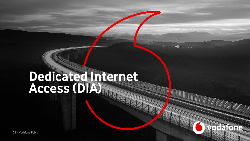# **Dedicated Internet Access (DIA)**

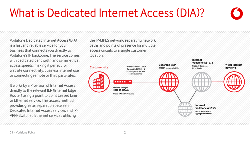#### C1 – Vodafone Public

VPN/Switched Ethernet services utilising

Vodafone's IP backbone. The service comes with dedicated bandwidth and symmetrical access speeds, making it perfect for website connectivity, business internet use or connecting remote or third party sites. It works by a Provision of Internet Access directly to the relevant IER (Internet Edge Router) using a point to point Leased Line or Ethernet service. This access method provides greater separation between

Dedicated Internet Access services and IP-

Vodafone Dedicated Internet Access (DIA)

is a fast and reliable service for your business that connects you directly to the IP-MPLS network, separating network paths and points of presence for multiple access circuits to a single customer location.



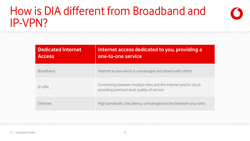### How is DIA different from Broadband and IP-VPN?

| <b>Dedicated Internet</b><br><b>Access</b> | Internet access dedicated to you, providing a<br>one-to-one service                                            |
|--------------------------------------------|----------------------------------------------------------------------------------------------------------------|
| <b>Broadband</b>                           | Internet access which is unmanaged and shared with others                                                      |
| <b>IP-VPN</b>                              | Connecting between multiple sites and the internet and/or cloud,<br>providing premium level quality of service |
| <b>Fthernet</b>                            | High bandwidth, low latency, unmanaged access between your sites                                               |
|                                            |                                                                                                                |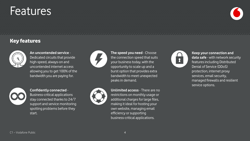#### C1 – Vodafone Public

start.

**Confidently connected** - Business-critical applications stay connected thanks to 24/7 support and service monitoring spotting problems before they

allowing you to get 100% of the bandwidth you are paying for.

**An uncontended service** - Dedicated circuits that provide high-speed, always-on and uncontended internet access



**The speed you need** - Choose the connection speed that suits your business today, with the opportunity to scale up and a burst option that provides extra bandwidth to meet unexpected peaks in demand.



**Unlimited access** - There are no restrictions on monthly usage or additional charges for large files, making it ideal for hosting your own website, managing email efficiency or supporting business-critical applications.

**Keep your connection and data safe** - with network security features including Distributed Denial of Service (DDoS) protection, internet proxy services, email security, managed firewalls and resilient service options.



# Features

Key features

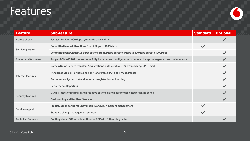### Features



| <b>Feature</b>               | <b>Sub-feature</b>                                                                                             | <b>Standard</b> | <b>Optional</b> |
|------------------------------|----------------------------------------------------------------------------------------------------------------|-----------------|-----------------|
| <b>Access circuit</b>        | 2, 4, 6, 8, 10, 100, 1000Mbps symmetric bandwidths                                                             |                 |                 |
| Service/port BW              | Committed bandwidth options from 2 Mbps to 1000Mbps                                                            | $\checkmark$    |                 |
|                              | Committed bandwidth plus burst options from 2Mbps burst to 4Mbps to 500Mbps burst to 1000Mbps                  |                 |                 |
| <b>Customer site routers</b> | Range of Cisco ISRG2 routers come fully installed and configured with remote change management and maintenance |                 |                 |
| Internet features            | Domain Name Service transfers/registrations, authoritative DNS, DNS caching, SMTP mail                         |                 |                 |
|                              | IP Address Blocks: Portable and non-transferable IPv4 and IPv6 addresses                                       |                 |                 |
|                              | Autonomous System Network numbers registration and routing                                                     |                 |                 |
|                              | <b>Performance Reporting</b>                                                                                   |                 |                 |
| <b>Security features</b>     | DDOS Protection: reactive and proactive options using share or dedicated cleaning zones                        |                 |                 |
|                              | <b>Dual Homing and Resilient Services</b>                                                                      |                 |                 |
| Service support              | Proactive monitoring for unavailability and 24/7 incident management                                           | $\checkmark$    |                 |
|                              | Standard change management services                                                                            | $\checkmark$    |                 |
| <b>Technical features</b>    | Routing: static, BGP with default route, BGP with full routing table                                           |                 |                 |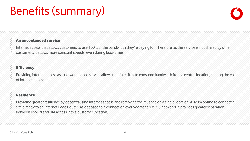# Benefits (summary)



### An uncontended service

Internet access that allows customers to use 100% of the bandwidth they're paying for. Therefore, as the service is not shared by other customers, it allows more constant speeds, even during busy times.

### **Efficiency**

Providing internet access as a network-based service allows multiple sites to consume bandwidth from a central location, sharing the cost of internet access.

### Resilience

Providing greater resilience by decentralising internet access and removing the reliance on a single location. Also by opting to connect a site directly to an Internet Edge Router (as opposed to a connection over Vodafone's MPLS network), it provides greater separation between IP-VPN and DIA access into a customer location.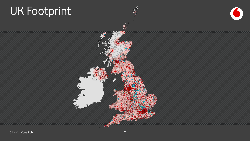# UK Footprint



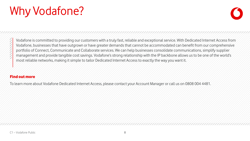# Why Vodafone?



Vodafone is committed to providing our customers with a truly fast, reliable and exceptional service. With Dedicated Internet Access from Vodafone, businesses that have outgrown or have greater demands that cannot be accommodated can benefit from our comprehensive portfolio of Connect, Communicate and Collaborate services. We can help businesses consolidate communications, simplify supplier management and provide tangible cost savings. Vodafone's strong relationship with the IP backbone allows us to be one of the world's most reliable networks, making it simple to tailor Dedicated Internet Access to exactly the way you want it.

### Find out more

To learn more about Vodafone Dedicated Internet Access, please contact your Account Manager or call us on 0808 004 4481.